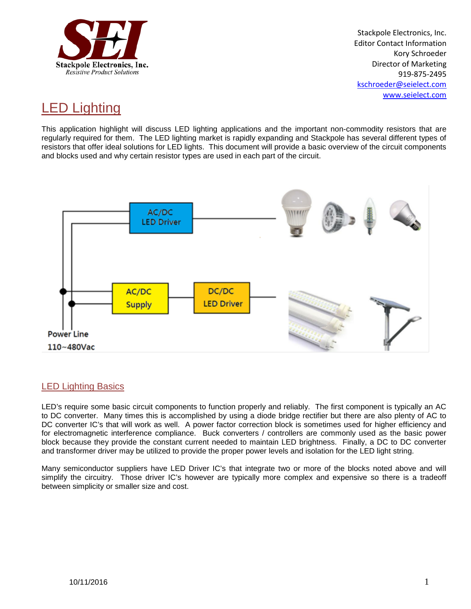

Stackpole Electronics, Inc. Editor Contact Information Kory Schroeder Director of Marketing 919-875-2495 [kschroeder@seielect.com](mailto:kschroeder@seielect.com) [www.seielect.com](http://www.seielect.com/)

# LED Lighting

This application highlight will discuss LED lighting applications and the important non-commodity resistors that are regularly required for them. The LED lighting market is rapidly expanding and Stackpole has several different types of resistors that offer ideal solutions for LED lights. This document will provide a basic overview of the circuit components and blocks used and why certain resistor types are used in each part of the circuit.



## LED Lighting Basics

LED's require some basic circuit components to function properly and reliably. The first component is typically an AC to DC converter. Many times this is accomplished by using a diode bridge rectifier but there are also plenty of AC to DC converter IC's that will work as well. A power factor correction block is sometimes used for higher efficiency and for electromagnetic interference compliance. Buck converters / controllers are commonly used as the basic power block because they provide the constant current needed to maintain LED brightness. Finally, a DC to DC converter and transformer driver may be utilized to provide the proper power levels and isolation for the LED light string.

Many semiconductor suppliers have LED Driver IC's that integrate two or more of the blocks noted above and will simplify the circuitry. Those driver IC's however are typically more complex and expensive so there is a tradeoff between simplicity or smaller size and cost.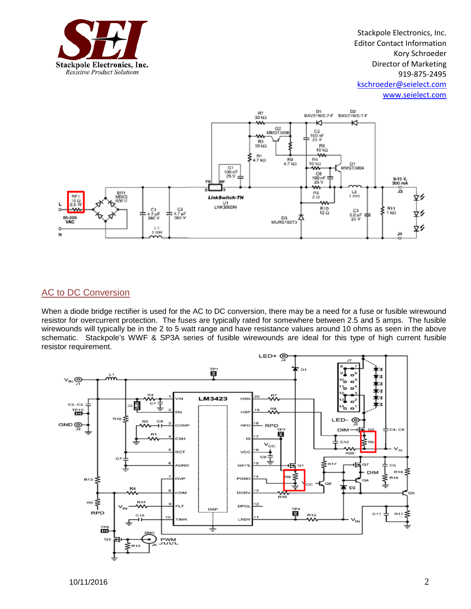

Stackpole Electronics, Inc. Editor Contact Information Kory Schroeder Director of Marketing 919-875-2495 [kschroeder@seielect.com](mailto:kschroeder@seielect.com) [www.seielect.com](http://www.seielect.com/)



# AC to DC Conversion

When a diode bridge rectifier is used for the AC to DC conversion, there may be a need for a fuse or fusible wirewound resistor for overcurrent protection. The fuses are typically rated for somewhere between 2.5 and 5 amps. The fusible wirewounds will typically be in the 2 to 5 watt range and have resistance values around 10 ohms as seen in the above schematic. Stackpole's WWF & SP3A series of fusible wirewounds are ideal for this type of high current fusible resistor requirement.